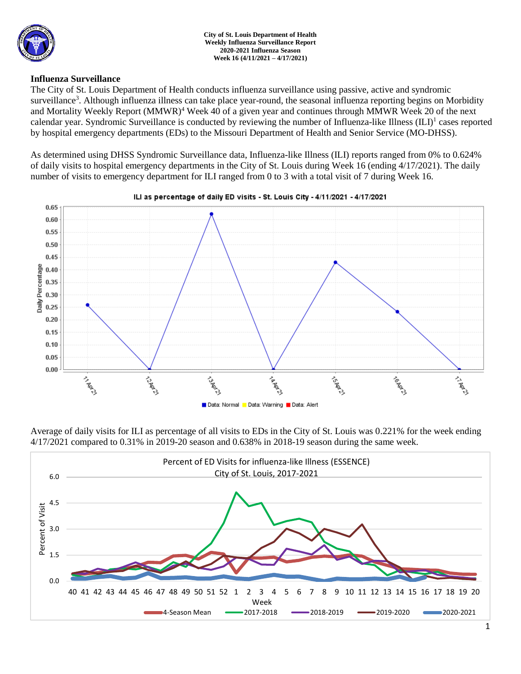

### **Influenza Surveillance**

The City of St. Louis Department of Health conducts influenza surveillance using passive, active and syndromic surveillance<sup>3</sup>. Although influenza illness can take place year-round, the seasonal influenza reporting begins on Morbidity and Mortality Weekly Report (MMWR)<sup>4</sup> Week 40 of a given year and continues through MMWR Week 20 of the next calendar year. Syndromic Surveillance is conducted by reviewing the number of Influenza-like Illness (ILI)<sup>1</sup> cases reported by hospital emergency departments (EDs) to the Missouri Department of Health and Senior Service (MO-DHSS).

As determined using DHSS Syndromic Surveillance data, Influenza-like Illness (ILI) reports ranged from 0% to 0.624% of daily visits to hospital emergency departments in the City of St. Louis during Week 16 (ending 4/17/2021). The daily number of visits to emergency department for ILI ranged from 0 to 3 with a total visit of 7 during Week 16.



Average of daily visits for ILI as percentage of all visits to EDs in the City of St. Louis was 0.221% for the week ending 4/17/2021 compared to 0.31% in 2019-20 season and 0.638% in 2018-19 season during the same week.

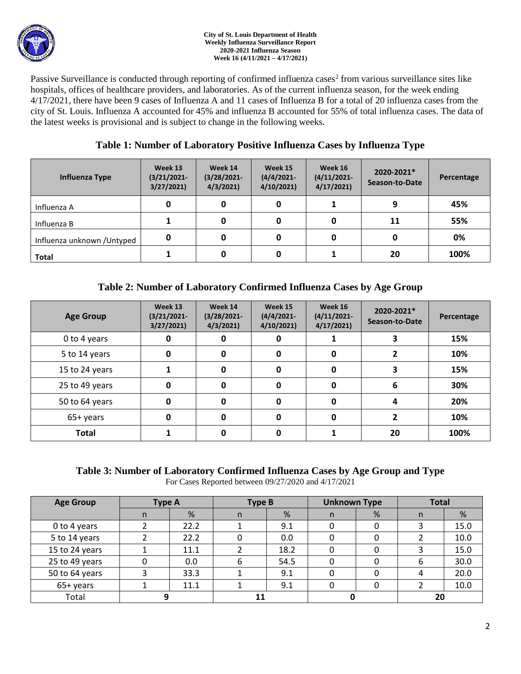

#### **City of St. Louis Department of Health Weekly Influenza Surveillance Report 2020-2021 Influenza Season Week 16 (4/11/2021 – 4/17/2021)**

Passive Surveillance is conducted through reporting of confirmed influenza cases<sup>2</sup> from various surveillance sites like hospitals, offices of healthcare providers, and laboratories. As of the current influenza season, for the week ending 4/17/2021, there have been 9 cases of Influenza A and 11 cases of Influenza B for a total of 20 influenza cases from the city of St. Louis. Influenza A accounted for 45% and influenza B accounted for 55% of total influenza cases. The data of the latest weeks is provisional and is subject to change in the following weeks.

# **Table 1: Number of Laboratory Positive Influenza Cases by Influenza Type**

| Influenza Type              | Week 13<br>$(3/21/2021 -$<br>3/27/2021 | Week 14<br>$(3/28/2021 -$<br>4/3/2021 | Week 15<br>$(4/4/2021 -$<br>4/10/2021 | Week 16<br>$(4/11/2021 -$<br>4/17/2021 | 2020-2021*<br>Season-to-Date | Percentage |
|-----------------------------|----------------------------------------|---------------------------------------|---------------------------------------|----------------------------------------|------------------------------|------------|
| Influenza A                 | 0                                      | 0                                     | 0                                     |                                        | q                            | 45%        |
| Influenza B                 |                                        |                                       | 0                                     |                                        | 11                           | 55%        |
| Influenza unknown / Untyped | 0                                      | 0                                     | 0                                     |                                        | 0                            | 0%         |
| <b>Total</b>                |                                        |                                       | 0                                     |                                        | 20                           | 100%       |

# **Table 2: Number of Laboratory Confirmed Influenza Cases by Age Group**

| <b>Age Group</b> | Week 13<br>$(3/21/2021 -$<br>3/27/2021 | Week 14<br>$(3/28/2021 -$<br>4/3/2021 | Week 15<br>$(4/4/2021 -$<br>4/10/2021 | Week 16<br>$(4/11/2021 -$<br>4/17/2021 | 2020-2021*<br>Season-to-Date | Percentage |
|------------------|----------------------------------------|---------------------------------------|---------------------------------------|----------------------------------------|------------------------------|------------|
| 0 to 4 years     | 0                                      |                                       | 0                                     |                                        |                              | 15%        |
| 5 to 14 years    | 0                                      | 0                                     | 0                                     | 0                                      |                              | 10%        |
| 15 to 24 years   |                                        | 0                                     | 0                                     | 0                                      |                              | 15%        |
| 25 to 49 years   | 0                                      | U                                     | 0                                     | 0                                      | 6                            | 30%        |
| 50 to 64 years   | 0                                      | U                                     | 0                                     | 0                                      |                              | 20%        |
| 65+ years        | 0                                      | O                                     | 0                                     | 0                                      |                              | 10%        |
| <b>Total</b>     |                                        |                                       |                                       |                                        | 20                           | 100%       |

### **Table 3: Number of Laboratory Confirmed Influenza Cases by Age Group and Type** For Cases Reported between 09/27/2020 and 4/17/2021

| <b>Age Group</b> | Type A |      | Type B |      | <b>Unknown Type</b> |   | <b>Total</b> |      |
|------------------|--------|------|--------|------|---------------------|---|--------------|------|
|                  | n      | %    | n      | %    | n.                  | % | n            | %    |
| 0 to 4 years     |        | 22.2 |        | 9.1  | 0                   |   |              | 15.0 |
| 5 to 14 years    |        | 22.2 |        | 0.0  | O                   |   |              | 10.0 |
| 15 to 24 years   |        | 11.1 |        | 18.2 |                     |   |              | 15.0 |
| 25 to 49 years   |        | 0.0  | 6      | 54.5 |                     |   | 6            | 30.0 |
| 50 to 64 years   |        | 33.3 |        | 9.1  | 0                   |   |              | 20.0 |
| 65+ years        |        | 11.1 |        | 9.1  |                     |   |              | 10.0 |
| Total            |        |      |        |      |                     |   | 20           |      |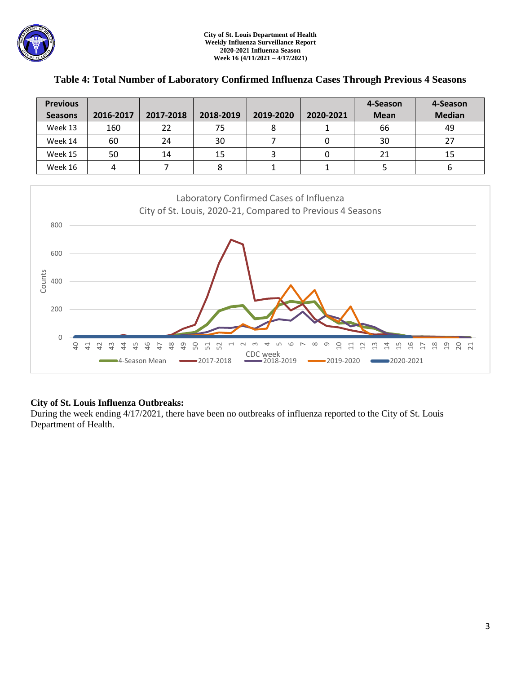

| <b>Previous</b> |           |           |           |           |           | 4-Season    | 4-Season      |
|-----------------|-----------|-----------|-----------|-----------|-----------|-------------|---------------|
| <b>Seasons</b>  | 2016-2017 | 2017-2018 | 2018-2019 | 2019-2020 | 2020-2021 | <b>Mean</b> | <b>Median</b> |
| Week 13         | 160       | 22        | 75        |           |           | 66          | 49            |
| Week 14         | 60        | 24        | 30        |           |           | 30          | 27            |
| Week 15         | 50        | 14        | 15        |           |           | 21          | 15            |
| Week 16         |           |           | ٥         |           |           |             | O             |

### **Table 4: Total Number of Laboratory Confirmed Influenza Cases Through Previous 4 Seasons**



## **City of St. Louis Influenza Outbreaks:**

During the week ending 4/17/2021, there have been no outbreaks of influenza reported to the City of St. Louis Department of Health.